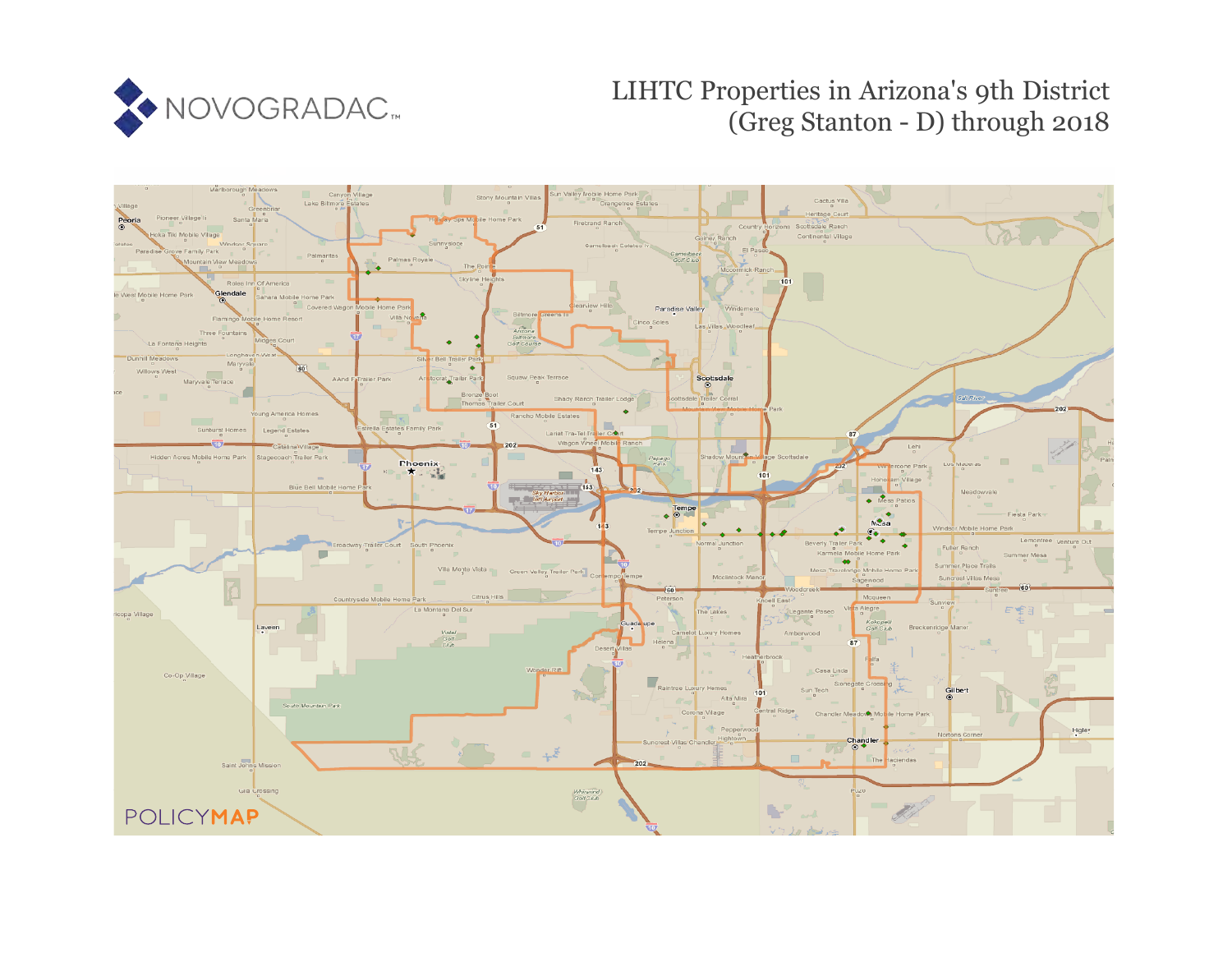

## LIHTC Properties in Arizona's 9th District (Greg Stanton - D) through 2018

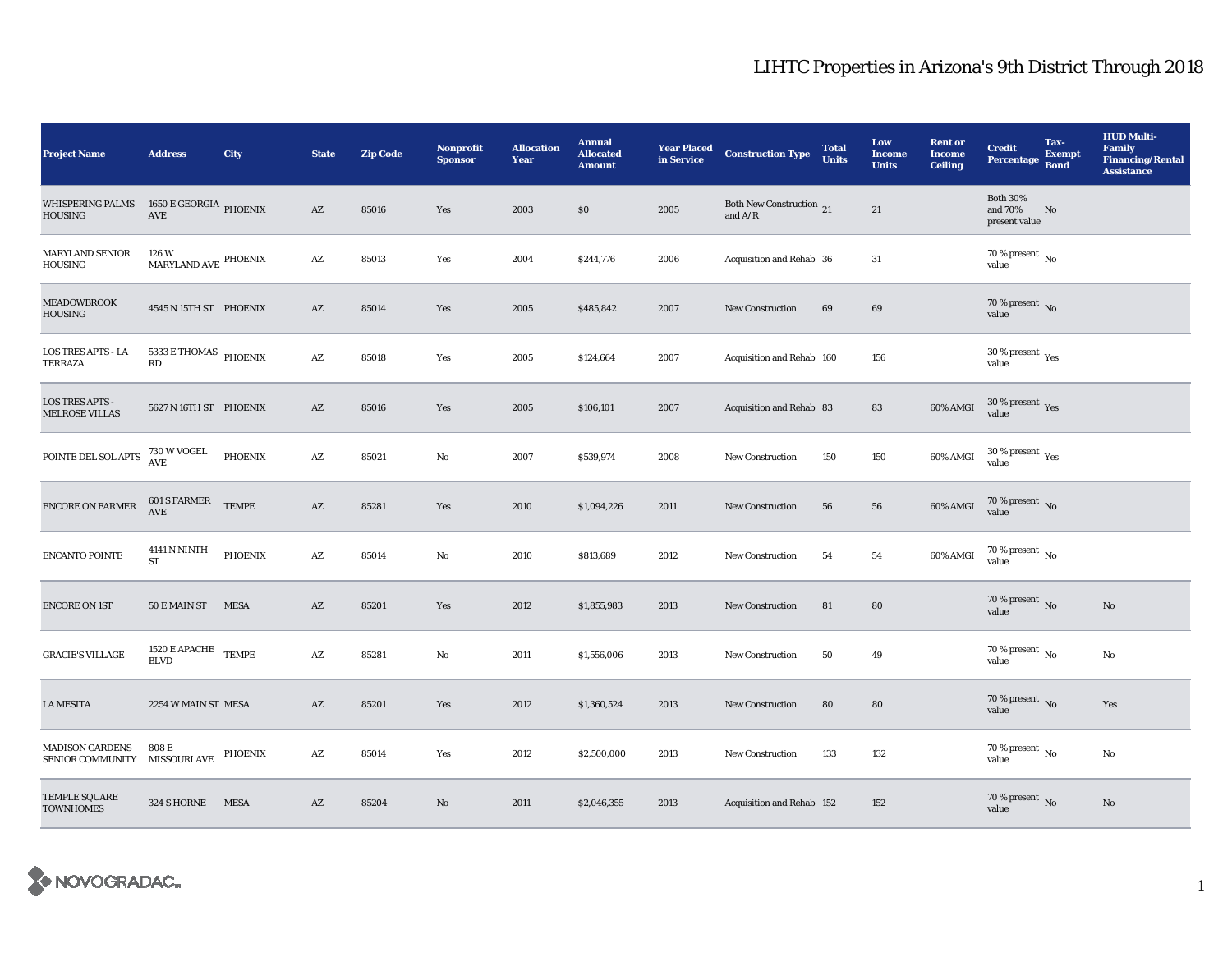## LIHTC Properties in Arizona's 9th District Through 2018

| <b>Project Name</b>                               | <b>Address</b>                                                            | City         | <b>State</b>           | <b>Zip Code</b> | <b>Nonprofit</b><br><b>Sponsor</b> | <b>Allocation</b><br>Year | <b>Annual</b><br><b>Allocated</b><br><b>Amount</b> | <b>Year Placed</b><br>in Service | <b>Construction Type</b>              | <b>Total</b><br><b>Units</b> | Low<br><b>Income</b><br><b>Units</b> | <b>Rent or</b><br><b>Income</b><br><b>Ceiling</b> | <b>Credit</b><br><b>Percentage</b>          | Tax-<br><b>Exempt</b><br><b>Bond</b> | <b>HUD Multi-</b><br><b>Family</b><br><b>Financing/Rental</b><br><b>Assistance</b> |
|---------------------------------------------------|---------------------------------------------------------------------------|--------------|------------------------|-----------------|------------------------------------|---------------------------|----------------------------------------------------|----------------------------------|---------------------------------------|------------------------------|--------------------------------------|---------------------------------------------------|---------------------------------------------|--------------------------------------|------------------------------------------------------------------------------------|
| <b>WHISPERING PALMS</b><br><b>HOUSING</b>         | 1650 E GEORGIA PHOENIX<br>$\operatorname{AVE}$                            |              | $\mathbf{A}\mathbf{Z}$ | 85016           | Yes                                | 2003                      | \$0                                                | 2005                             | Both New Construction 21<br>and $A/R$ |                              | 21                                   |                                                   | <b>Both 30%</b><br>and 70%<br>present value | No                                   |                                                                                    |
| <b>MARYLAND SENIOR</b><br><b>HOUSING</b>          | 126 W<br>$\mbox{MARYLAND AVE}$ PHOENIX                                    |              | $\mathbf{A}\mathbf{Z}$ | 85013           | Yes                                | 2004                      | \$244,776                                          | 2006                             | Acquisition and Rehab 36              |                              | 31                                   |                                                   | 70 % present $\,$ No $\,$<br>value          |                                      |                                                                                    |
| <b>MEADOWBROOK</b><br><b>HOUSING</b>              | 4545 N 15TH ST PHOENIX                                                    |              | $\mathbf{A}\mathbf{Z}$ | 85014           | Yes                                | 2005                      | \$485,842                                          | 2007                             | New Construction                      | 69                           | 69                                   |                                                   | $70$ % present $\,$ No value                |                                      |                                                                                    |
| <b>LOS TRES APTS - LA</b><br>TERRAZA              | $5333\,\mathrm{E}$ THOMAS $_{\mathrm{PHOENIX}}$<br>$\mathbf{R}\mathbf{D}$ |              | $\mathbf{A}\mathbf{Z}$ | 85018           | Yes                                | 2005                      | \$124,664                                          | 2007                             | Acquisition and Rehab 160             |                              | 156                                  |                                                   | $30$ % present $\,$ $\rm Yes$<br>value      |                                      |                                                                                    |
| <b>LOS TRES APTS -</b><br><b>MELROSE VILLAS</b>   | 5627 N 16TH ST PHOENIX                                                    |              | $\mathbf{A}\mathbf{Z}$ | 85016           | Yes                                | 2005                      | \$106,101                                          | 2007                             | Acquisition and Rehab 83              |                              | 83                                   | $60\%$ AMGI                                       | $30\,\%$ present $\,$ Yes value             |                                      |                                                                                    |
| POINTE DEL SOL APTS                               | 730 W VOGEL<br>AVE                                                        | PHOENIX      | $\mathbf{A}\mathbf{Z}$ | 85021           | No                                 | 2007                      | \$539,974                                          | 2008                             | <b>New Construction</b>               | 150                          | 150                                  | 60% AMGI                                          | $30\,\%$ present $\,\mathrm{Yes}$ value     |                                      |                                                                                    |
| <b>ENCORE ON FARMER</b>                           | 601 S FARMER<br>AVE                                                       | <b>TEMPE</b> | $\mathbf{A}\mathbf{Z}$ | 85281           | Yes                                | 2010                      | \$1,094,226                                        | 2011                             | <b>New Construction</b>               | 56                           | 56                                   | 60% AMGI                                          | $70\,\%$ present $\,$ No value              |                                      |                                                                                    |
| <b>ENCANTO POINTE</b>                             | <b>4141 N NINTH</b><br><b>ST</b>                                          | PHOENIX      | AZ                     | 85014           | $\mathbf{N}\mathbf{o}$             | 2010                      | \$813,689                                          | 2012                             | <b>New Construction</b>               | 54                           | 54                                   | 60% AMGI                                          | $70\,\%$ present $\,$ No value              |                                      |                                                                                    |
| <b>ENCORE ON 1ST</b>                              | 50 E MAIN ST MESA                                                         |              | $\mathbf{A}\mathbf{Z}$ | 85201           | Yes                                | 2012                      | \$1,855,983                                        | 2013                             | New Construction                      | 81                           | 80                                   |                                                   | 70 % present $\,$ No $\,$<br>value          |                                      | $\mathbf{No}$                                                                      |
| <b>GRACIE'S VILLAGE</b>                           | 1520 $E$ APACHE $\quad$ TEMPE<br><b>BLVD</b>                              |              | $\mathbf{A}\mathbf{Z}$ | 85281           | No                                 | 2011                      | \$1,556,006                                        | 2013                             | <b>New Construction</b>               | 50                           | 49                                   |                                                   | 70 % present $\,$ No $\,$<br>value          |                                      | No                                                                                 |
| <b>LA MESITA</b>                                  | 2254 W MAIN ST MESA                                                       |              | $\mathbf{A}\mathbf{Z}$ | 85201           | Yes                                | 2012                      | \$1,360,524                                        | 2013                             | New Construction                      | 80                           | 80                                   |                                                   | 70 % present $\,$ No $\,$<br>value          |                                      | Yes                                                                                |
| <b>MADISON GARDENS</b><br><b>SENIOR COMMUNITY</b> | 808 E<br>MISSOURI AVE                                                     | PHOENIX      | $\mathbf{A}\mathbf{Z}$ | 85014           | Yes                                | 2012                      | \$2,500,000                                        | 2013                             | New Construction                      | 133                          | 132                                  |                                                   | 70 % present $\,$ No $\,$<br>value          |                                      | No                                                                                 |
| TEMPLE SQUARE<br><b>TOWNHOMES</b>                 | 324 SHORNE MESA                                                           |              | AZ                     | 85204           | No                                 | 2011                      | \$2,046,355                                        | 2013                             | Acquisition and Rehab 152             |                              | 152                                  |                                                   | 70 % present $\overline{N}$<br>value        |                                      | No                                                                                 |

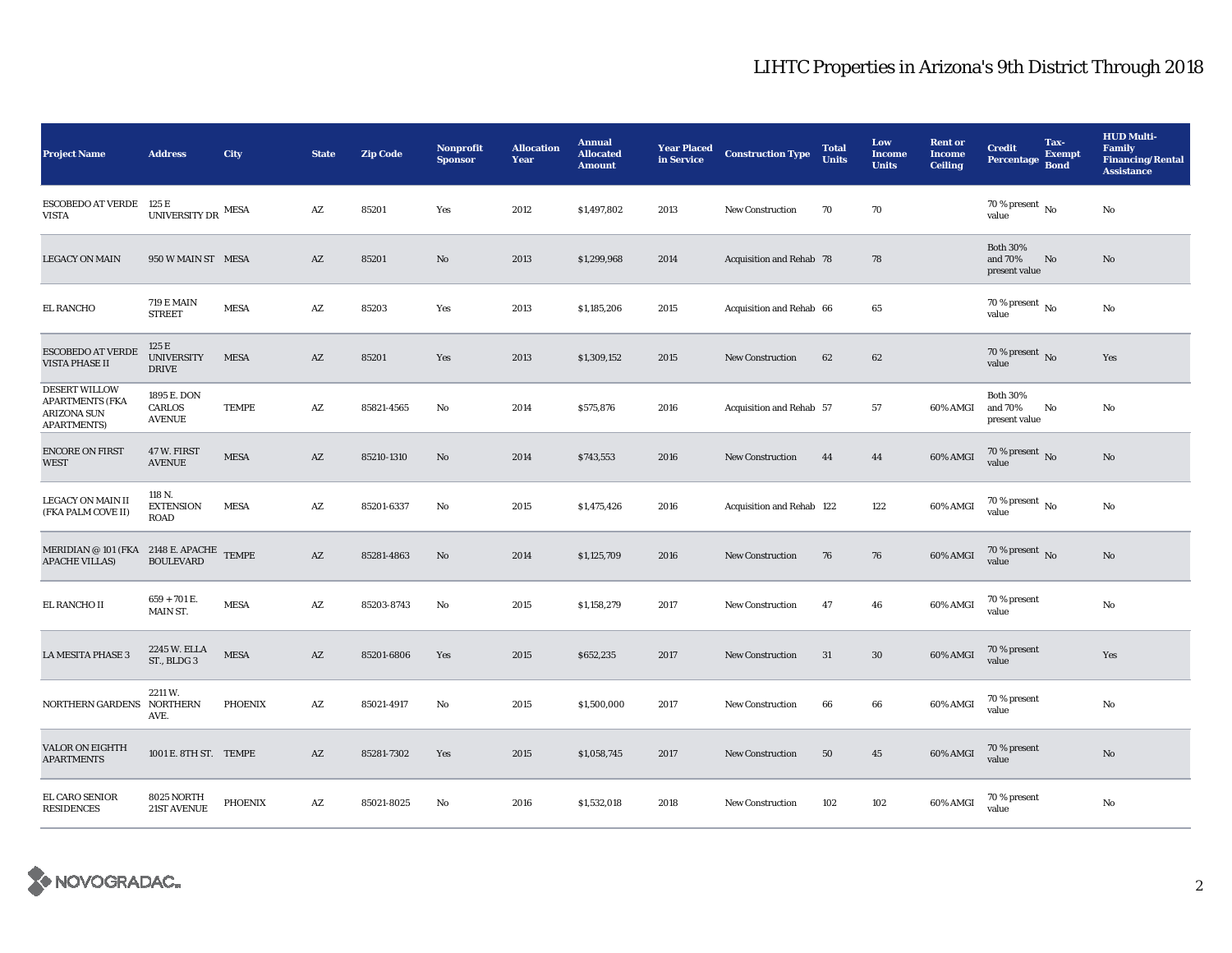## LIHTC Properties in Arizona's 9th District Through 2018

| <b>Project Name</b>                                                                        | <b>Address</b>                             | City           | <b>State</b>           | <b>Zip Code</b> | <b>Nonprofit</b><br><b>Sponsor</b> | <b>Allocation</b><br>Year | <b>Annual</b><br><b>Allocated</b><br><b>Amount</b> | <b>Year Placed</b><br>in Service | <b>Construction Type</b>  | <b>Total</b><br><b>Units</b> | Low<br><b>Income</b><br><b>Units</b> | <b>Rent or</b><br><b>Income</b><br><b>Ceiling</b> | <b>Credit</b><br>Percentage Bond            | Tax-<br><b>Exempt</b> | <b>HUD Multi-</b><br><b>Family</b><br><b>Financing/Rental</b><br><b>Assistance</b> |
|--------------------------------------------------------------------------------------------|--------------------------------------------|----------------|------------------------|-----------------|------------------------------------|---------------------------|----------------------------------------------------|----------------------------------|---------------------------|------------------------------|--------------------------------------|---------------------------------------------------|---------------------------------------------|-----------------------|------------------------------------------------------------------------------------|
| <b>ESCOBEDO AT VERDE</b><br><b>VISTA</b>                                                   | 125 E<br>UNIVERSITY DR $^{\rm{MESA}}$      |                | $\mathbf{A}\mathbf{Z}$ | 85201           | Yes                                | 2012                      | \$1,497,802                                        | 2013                             | <b>New Construction</b>   | 70                           | 70                                   |                                                   | $70$ % present $\,$ No $\,$<br>value        |                       | No                                                                                 |
| <b>LEGACY ON MAIN</b>                                                                      | 950 W MAIN ST MESA                         |                | AZ                     | 85201           | No                                 | 2013                      | \$1,299,968                                        | 2014                             | Acquisition and Rehab 78  |                              | 78                                   |                                                   | <b>Both 30%</b><br>and 70%<br>present value | No                    | No                                                                                 |
| EL RANCHO                                                                                  | <b>719 E MAIN</b><br><b>STREET</b>         | <b>MESA</b>    | $\mathbf{A}\mathbf{Z}$ | 85203           | Yes                                | 2013                      | \$1,185,206                                        | 2015                             | Acquisition and Rehab 66  |                              | 65                                   |                                                   | 70 % present $\,$ No $\,$<br>value          |                       | No                                                                                 |
| <b>ESCOBEDO AT VERDE</b><br>VISTA PHASE II                                                 | 125 E<br><b>UNIVERSITY</b><br><b>DRIVE</b> | <b>MESA</b>    | AZ                     | 85201           | Yes                                | 2013                      | \$1,309,152                                        | 2015                             | <b>New Construction</b>   | 62                           | 62                                   |                                                   | 70 % present $\,$ No $\,$<br>value          |                       | Yes                                                                                |
| <b>DESERT WILLOW</b><br><b>APARTMENTS (FKA</b><br><b>ARIZONA SUN</b><br><b>APARTMENTS)</b> | 1895 E. DON<br>CARLOS<br><b>AVENUE</b>     | TEMPE          | AZ                     | 85821-4565      | No                                 | 2014                      | \$575,876                                          | 2016                             | Acquisition and Rehab 57  |                              | 57                                   | 60% AMGI                                          | <b>Both 30%</b><br>and 70%<br>present value | No                    | No                                                                                 |
| <b>ENCORE ON FIRST</b><br><b>WEST</b>                                                      | 47 W. FIRST<br><b>AVENUE</b>               | <b>MESA</b>    | AZ                     | 85210-1310      | No                                 | 2014                      | \$743,553                                          | 2016                             | <b>New Construction</b>   | 44                           | 44                                   | 60% AMGI                                          | $70$ % present $\,$ No value                |                       | No                                                                                 |
| LEGACY ON MAIN II<br>(FKA PALM COVE II)                                                    | 118 N.<br><b>EXTENSION</b><br>ROAD         | <b>MESA</b>    | AZ                     | 85201-6337      | No                                 | 2015                      | \$1,475,426                                        | 2016                             | Acquisition and Rehab 122 |                              | 122                                  | $60\%$ AMGI                                       | 70 % present $\,$ No $\,$<br>value          |                       | No                                                                                 |
| MERIDIAN @ 101 (FKA 2148 E. APACHE TEMPE<br><b>APACHE VILLAS)</b>                          | <b>BOULEVARD</b>                           |                | AZ                     | 85281-4863      | No                                 | 2014                      | \$1,125,709                                        | 2016                             | <b>New Construction</b>   | 76                           | 76                                   | 60% AMGI                                          | 70 % present $\,$ No $\,$<br>value          |                       | No                                                                                 |
| EL RANCHO II                                                                               | $659 + 701$ E.<br>MAIN ST.                 | <b>MESA</b>    | AZ                     | 85203-8743      | No                                 | 2015                      | \$1,158,279                                        | 2017                             | <b>New Construction</b>   | 47                           | 46                                   | 60% AMGI                                          | 70 % present<br>value                       |                       | No                                                                                 |
| <b>LA MESITA PHASE 3</b>                                                                   | 2245 W. ELLA<br>ST., BLDG 3                | <b>MESA</b>    | AZ                     | 85201-6806      | Yes                                | 2015                      | \$652,235                                          | 2017                             | <b>New Construction</b>   | 31                           | 30                                   | 60% AMGI                                          | 70 % present<br>value                       |                       | Yes                                                                                |
| NORTHERN GARDENS                                                                           | 2211W<br><b>NORTHERN</b><br>AVE.           | <b>PHOENIX</b> | $\mathbf{A}\mathbf{Z}$ | 85021-4917      | No                                 | 2015                      | \$1,500,000                                        | 2017                             | <b>New Construction</b>   | 66                           | 66                                   | 60% AMGI                                          | 70 % present<br>value                       |                       | No                                                                                 |
| <b>VALOR ON EIGHTH</b><br><b>APARTMENTS</b>                                                | 1001 E. 8TH ST. TEMPE                      |                | AZ                     | 85281-7302      | Yes                                | 2015                      | \$1,058,745                                        | 2017                             | <b>New Construction</b>   | 50                           | 45                                   | 60% AMGI                                          | 70 % present<br>value                       |                       | No                                                                                 |
| EL CARO SENIOR<br><b>RESIDENCES</b>                                                        | 8025 NORTH<br>21ST AVENUE                  | PHOENIX        | AZ                     | 85021-8025      | No                                 | 2016                      | \$1,532,018                                        | 2018                             | <b>New Construction</b>   | 102                          | 102                                  | 60% AMGI                                          | 70 % present<br>value                       |                       | No                                                                                 |

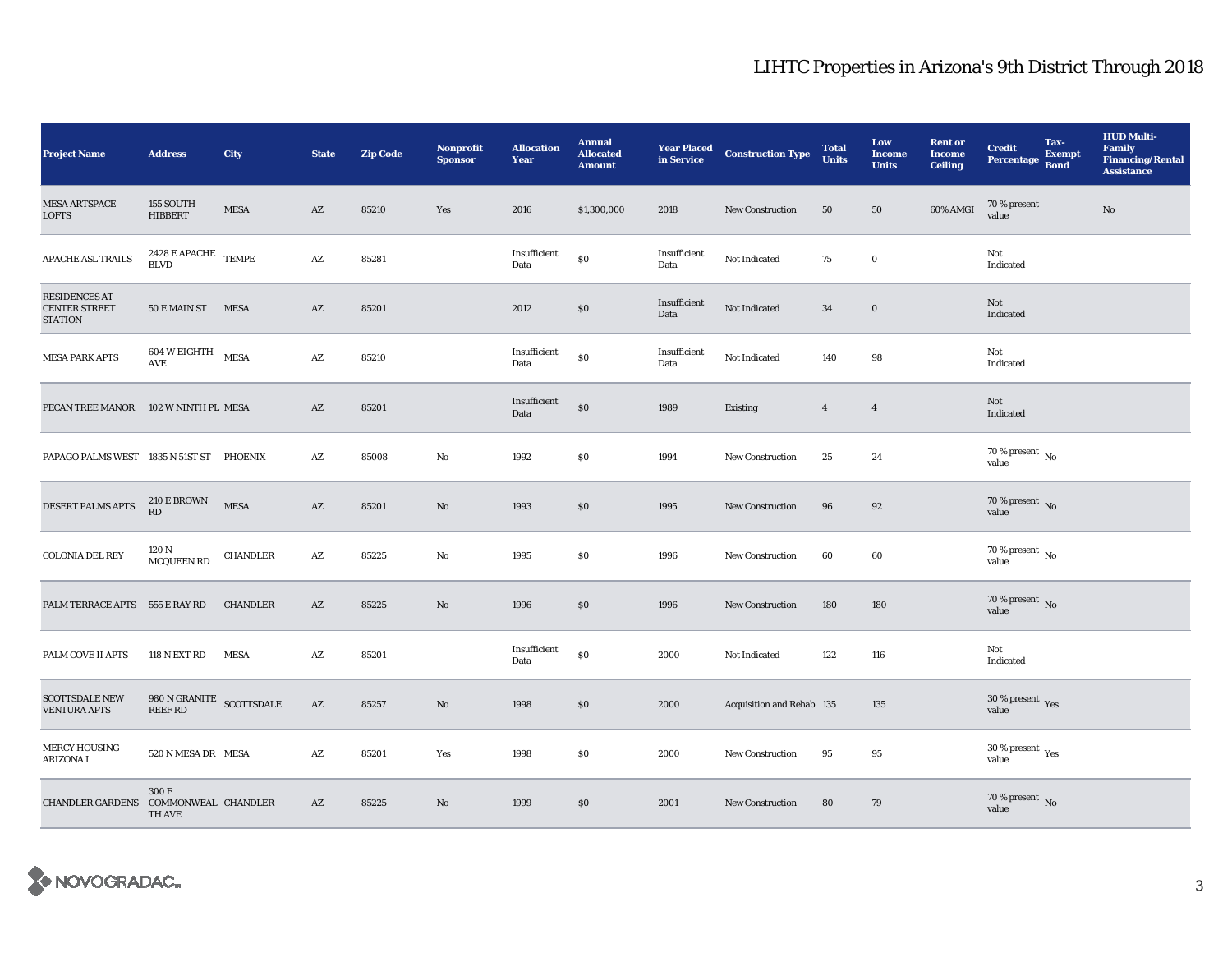## LIHTC Properties in Arizona's 9th District Through 2018

| <b>Project Name</b>                                     | <b>Address</b>                                | City            | <b>State</b>           | <b>Zip Code</b> | <b>Nonprofit</b><br><b>Sponsor</b> | <b>Allocation</b><br>Year | <b>Annual</b><br><b>Allocated</b><br><b>Amount</b> | <b>Year Placed</b><br>in Service | <b>Construction Type</b>  | <b>Total</b><br><b>Units</b> | Low<br><b>Income</b><br><b>Units</b> | <b>Rent or</b><br><b>Income</b><br><b>Ceiling</b> | <b>Credit</b><br><b>Percentage</b> | Tax-<br><b>Exempt</b><br><b>Bond</b> | <b>HUD Multi-</b><br><b>Family</b><br><b>Financing/Rental</b><br><b>Assistance</b> |
|---------------------------------------------------------|-----------------------------------------------|-----------------|------------------------|-----------------|------------------------------------|---------------------------|----------------------------------------------------|----------------------------------|---------------------------|------------------------------|--------------------------------------|---------------------------------------------------|------------------------------------|--------------------------------------|------------------------------------------------------------------------------------|
| <b>MESA ARTSPACE</b><br><b>LOFTS</b>                    | 155 SOUTH<br><b>HIBBERT</b>                   | <b>MESA</b>     | AZ                     | 85210           | Yes                                | 2016                      | \$1,300,000                                        | 2018                             | New Construction          | 50                           | 50                                   | 60% AMGI                                          | 70 % present<br>value              |                                      | $\rm No$                                                                           |
| APACHE ASL TRAILS                                       | $2428$ E APACHE TEMPE<br><b>BLVD</b>          |                 | $\mathbf{A}\mathbf{Z}$ | 85281           |                                    | Insufficient<br>Data      | \$0                                                | Insufficient<br>Data             | Not Indicated             | 75                           | $\bf{0}$                             |                                                   | Not<br>Indicated                   |                                      |                                                                                    |
| <b>RESIDENCES AT</b><br><b>CENTER STREET</b><br>STATION | 50 E MAIN ST MESA                             |                 | AZ                     | 85201           |                                    | 2012                      | \$0                                                | Insufficient<br>Data             | Not Indicated             | 34                           | $\mathbf 0$                          |                                                   | Not<br>Indicated                   |                                      |                                                                                    |
| <b>MESA PARK APTS</b>                                   | $604$ W EIGHTH $$\tt MESA$$<br>AVE            |                 | $\mathbf{A}\mathbf{Z}$ | 85210           |                                    | Insufficient<br>Data      | \$0                                                | Insufficient<br>Data             | Not Indicated             | 140                          | 98                                   |                                                   | Not<br>Indicated                   |                                      |                                                                                    |
| PECAN TREE MANOR                                        | 102 W NINTH PL MESA                           |                 | $\mathbf{A}\mathbf{Z}$ | 85201           |                                    | Insufficient<br>Data      | \$0                                                | 1989                             | Existing                  | $\overline{4}$               | $\overline{4}$                       |                                                   | Not<br>Indicated                   |                                      |                                                                                    |
| PAPAGO PALMS WEST 1835 N 51ST ST PHOENIX                |                                               |                 | $\mathbf{A}\mathbf{Z}$ | 85008           | No                                 | 1992                      | $\$0$                                              | 1994                             | <b>New Construction</b>   | $25\,$                       | 24                                   |                                                   | 70 % present $\,$ No $\,$<br>value |                                      |                                                                                    |
| DESERT PALMS APTS                                       | <b>210 E BROWN</b><br>RD                      | <b>MESA</b>     | AZ                     | 85201           | No                                 | 1993                      | \$0                                                | 1995                             | <b>New Construction</b>   | 96                           | 92                                   |                                                   | $70$ % present $\,$ No value       |                                      |                                                                                    |
| COLONIA DEL REY                                         | 120 N<br>MCQUEEN RD                           | <b>CHANDLER</b> | $\mathbf{A}\mathbf{Z}$ | 85225           | No                                 | 1995                      | $\$0$                                              | 1996                             | New Construction          | 60                           | 60                                   |                                                   | 70 % present $\,$ No $\,$<br>value |                                      |                                                                                    |
| PALM TERRACE APTS 555 E RAY RD                          |                                               | <b>CHANDLER</b> | $\mathbf{A}\mathbf{Z}$ | 85225           | No                                 | 1996                      | \$0                                                | 1996                             | <b>New Construction</b>   | 180                          | 180                                  |                                                   | $70$ % present $\,$ No value       |                                      |                                                                                    |
| PALM COVE II APTS                                       | <b>118 N EXT RD</b>                           | <b>MESA</b>     | $\mathbf{A}\mathbf{Z}$ | 85201           |                                    | Insufficient<br>Data      | $\$0$                                              | 2000                             | Not Indicated             | 122                          | 116                                  |                                                   | Not<br>Indicated                   |                                      |                                                                                    |
| <b>SCOTTSDALE NEW</b><br><b>VENTURA APTS</b>            | 980 N GRANITE SCOTTSDALE<br><b>REEF RD</b>    |                 | $\mathbf{A}\mathbf{Z}$ | 85257           | No                                 | 1998                      | \$0                                                | 2000                             | Acquisition and Rehab 135 |                              | 135                                  |                                                   | $30\,\%$ present $\,$ Yes value    |                                      |                                                                                    |
| <b>MERCY HOUSING</b><br><b>ARIZONA I</b>                | 520 N MESA DR MESA                            |                 | AZ                     | 85201           | Yes                                | 1998                      | \$0                                                | 2000                             | <b>New Construction</b>   | 95                           | 95                                   |                                                   | $30\,\%$ present $\,$ Yes value    |                                      |                                                                                    |
| <b>CHANDLER GARDENS</b>                                 | 300 E<br>COMMONWEAL CHANDLER<br><b>TH AVE</b> |                 | AZ                     | 85225           | $\mathbf{N}\mathbf{o}$             | 1999                      | $\$0$                                              | 2001                             | <b>New Construction</b>   | 80                           | 79                                   |                                                   | $70\,\%$ present $\,$ No value     |                                      |                                                                                    |